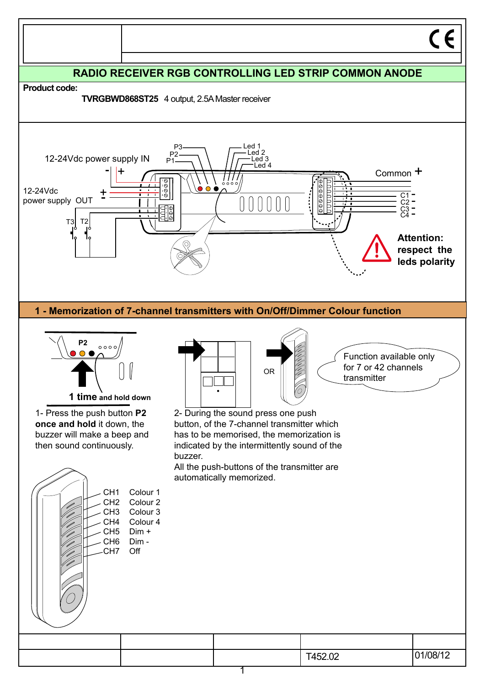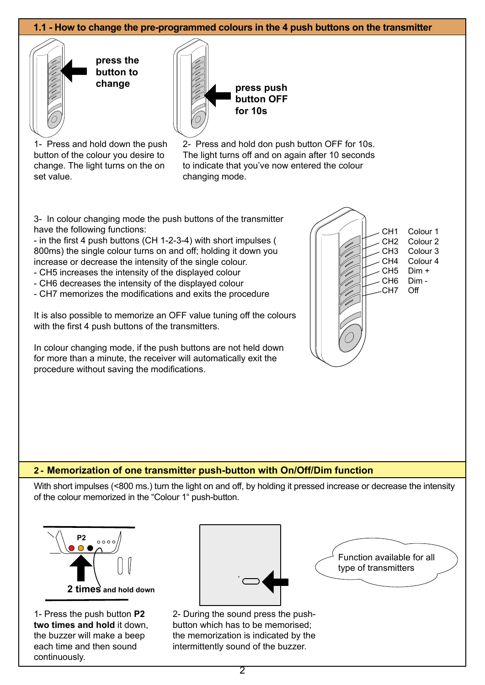## **1.1 - How to change the pre-programmed colours in the 4 push buttons on the transmitter**



**press the button to** 



**button OFF for 10s**

1- Press and hold down the push button of the colour you desire to change. The light turns on the on set value.

2- Press and hold don push button OFF for 10s. The light turns off and on again after 10 seconds to indicate that you've now entered the colour changing mode.

3- In colour changing mode the push buttons of the transmitter have the following functions:

- in the first 4 push buttons (CH 1-2-3-4) with short impulses ( 800ms) the single colour turns on and off; holding it down you increase or decrease the intensity of the single colour.

- CH5 increases the intensity of the displayed colour
- CH6 decreases the intensity of the displayed colour
- CH7 memorizes the modifications and exits the procedure

It is also possible to memorize an OFF value tuning off the colours with the first 4 push buttons of the transmitters.

In colour changing mode, if the push buttons are not held down for more than a minute, the receiver will automatically exit the procedure without saving the modifications.



### **2 - Memorization of one transmitter push-button with On/Off/Dim function**

With short impulses (<800 ms.) turn the light on and off, by holding it pressed increase or decrease the intensity of the colour memorized in the "Colour 1" push-button.



1- Press the push button **P2 two times and hold** it down, the buzzer will make a beep each time and then sound continuously.



2- During the sound press the pushbutton which has to be memorised; the memorization is indicated by the intermittently sound of the buzzer.

Function available for all type of transmitters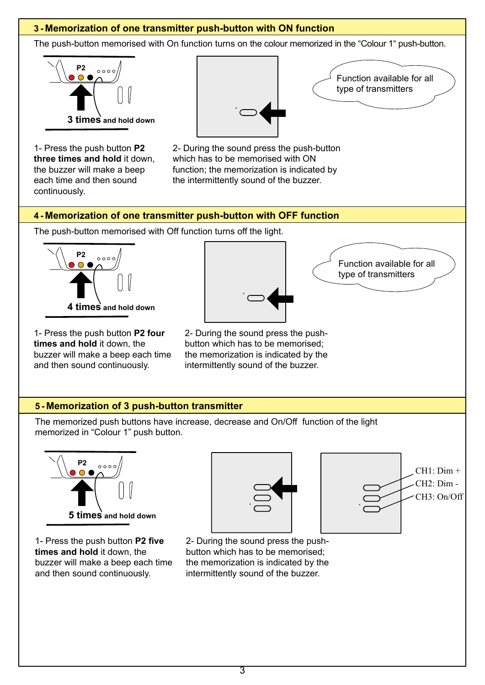# **3 - Memorization of one transmitter push-button with ON function**

The push-button memorised with On function turns on the colour memorized in the "Colour 1" push-button.



1- Press the push button **P2 three times and hold** it down, the buzzer will make a beep each time and then sound continuously.



Function available for all type of transmitters

2- During the sound press the push-button which has to be memorised with ON function; the memorization is indicated by the intermittently sound of the buzzer.

# **4 - Memorization of one transmitter push-button with OFF function**

The push-button memorised with Off function turns off the light.



1- Press the push button **P2 four times and hold** it down, the buzzer will make a beep each time and then sound continuously.

Function available for all type of transmitters

> $CH1: Dim +$ CH2: Dim - CH3: On/Off

2- During the sound press the pushbutton which has to be memorised; the memorization is indicated by the intermittently sound of the buzzer.

# **5 - Memorization of 3 push-button transmitter**

The memorized push buttons have increase, decrease and On/Off function of the light memorized in "Colour 1" push button.







2- During the sound press the pushbutton which has to be memorised; the memorization is indicated by the intermittently sound of the buzzer.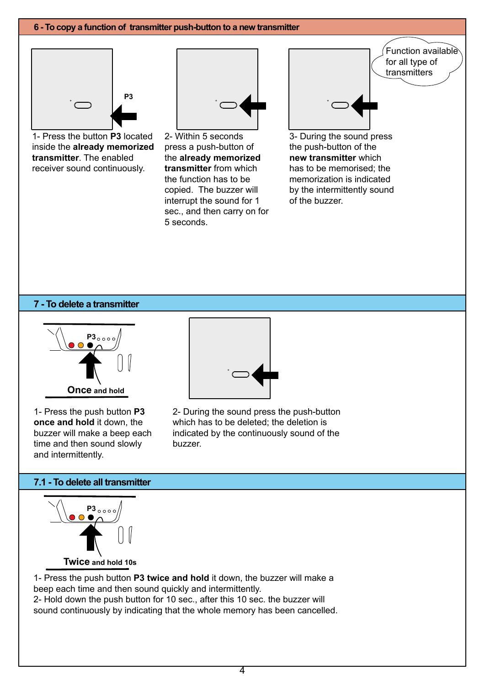#### **6 - To copy a function of transmitter push-button to a new transmitter**



1- Press the button **P3** located inside the **already memorized transmitter**. The enabled receiver sound continuously.



2- Within 5 seconds press a push-button of the **already memorized transmitter** from which the function has to be copied. The buzzer will interrupt the sound for 1 sec., and then carry on for 5 seconds.



3- During the sound press the push-button of the **new transmitter** which has to be memorised; the memorization is indicated by the intermittently sound of the buzzer.

#### **7 - To delete a transmitter**



1- Press the push button **P3 once and hold** it down, the buzzer will make a beep each time and then sound slowly and intermittently.



2- During the sound press the push-button which has to be deleted; the deletion is indicated by the continuously sound of the buzzer.

#### **7.1 - To delete all transmitter**



1- Press the push button **P3 twice and hold** it down, the buzzer will make a beep each time and then sound quickly and intermittently. 2- Hold down the push button for 10 sec., after this 10 sec. the buzzer will sound continuously by indicating that the whole memory has been cancelled.